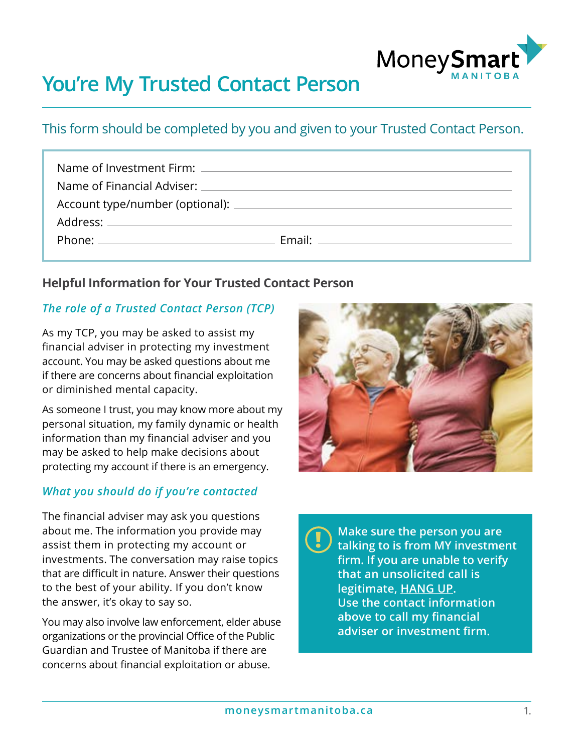

# **You're My Trusted Contact Person**

# This form should be completed by you and given to your Trusted Contact Person.

| Email: ___________________________________ |
|--------------------------------------------|
|                                            |

## **Helpful Information for Your Trusted Contact Person**

## *The role of a Trusted Contact Person (TCP)*

As my TCP, you may be asked to assist my financial adviser in protecting my investment account. You may be asked questions about me if there are concerns about financial exploitation or diminished mental capacity.

As someone I trust, you may know more about my personal situation, my family dynamic or health information than my financial adviser and you may be asked to help make decisions about protecting my account if there is an emergency.

## *What you should do if you're contacted*

The financial adviser may ask you questions about me. The information you provide may assist them in protecting my account or investments. The conversation may raise topics that are difficult in nature. Answer their questions to the best of your ability. If you don't know the answer, it's okay to say so.

You may also involve law enforcement, elder abuse organizations or the provincial Office of the Public Guardian and Trustee of Manitoba if there are concerns about financial exploitation or abuse.



**Make sure the person you are talking to is from MY investment firm. If you are unable to verify that an unsolicited call is legitimate, HANG UP. Use the contact information above to call my financial adviser or investment firm. !**